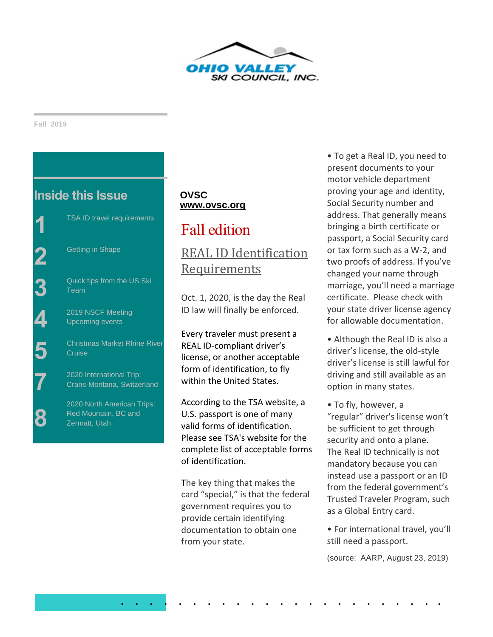

**Fall 2019**

**8**



# **OVSC [www.ovsc.org](http://www.ovsc.org/)**

# Fall edition

# [REAL ID Identification](https://www.dhs.gov/news/2019/04/04/tsa-reminds-travelers-real-id-identification-requirements)  [Requirements](https://www.dhs.gov/news/2019/04/04/tsa-reminds-travelers-real-id-identification-requirements)

Oct. 1, 2020, is the day the Real ID law will finally be enforced.

Every traveler must present a REAL ID-compliant driver's license, or another acceptable form of identification, to fly within the United States.

According to the TSA website, a U.S. passport is one of many valid forms of identification. Please see TSA's website for the complete list of acceptable forms of identification.

The key thing that makes the card "special," is that the federal government requires you to provide certain identifying documentation to obtain one from your state.

. . . . . . . . . . . . . . . . . . . . . . .

• To get a Real ID, you need to present documents to your motor vehicle department proving your age and identity, Social Security number and address. That generally means bringing a birth certificate or passport, a Social Security card or tax form such as a W-2, and two proofs of address. If you've changed your name through marriage, you'll need a marriage certificate. Please check with your state driver license agency for allowable documentation.

- Although the Real ID is also a driver's license, the old-style driver's license is still lawful for driving and still available as an option in many states.
- To fly, however, a "regular" driver's license won't be sufficient to get through security and onto a plane. The Real ID technically is not mandatory because you can instead use a passport or an ID from the federal government's Trusted Traveler Program, such as a Global Entry card.
- For international travel, you'll still need a passport.

(source: AARP, August 23, 2019)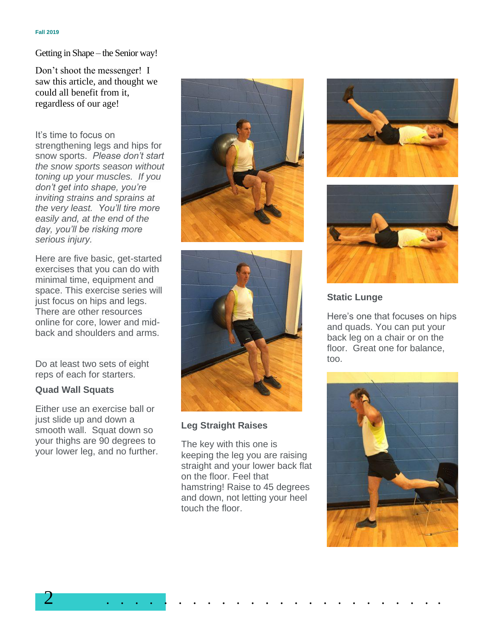Getting in Shape – the Senior way!

Don't shoot the messenger! I saw this article, and thought we could all benefit from it, regardless of our age!

It's time to focus on strengthening legs and hips for snow sports. *Please don't start the snow sports season without toning up your muscles. If you don't get into shape, you're inviting strains and sprains at the very least. You'll tire more easily and, at the end of the day, you'll be risking more serious injury.*

Here are five basic, get-started exercises that you can do with minimal time, equipment and space. This exercise series will just focus on hips and legs. There are other resources online for core, lower and midback and shoulders and arms.

Do at least two sets of eight reps of each for starters.

### **Quad Wall Squats**

Either use an exercise ball or just slide up and down a smooth wall. Squat down so your thighs are 90 degrees to your lower leg, and no further.





## **Leg Straight Raises**

The key with this one is keeping the leg you are raising straight and your lower back flat on the floor. Feel that hamstring! Raise to 45 degrees and down, not letting your heel touch the floor.





## **Static Lunge**

Here's one that focuses on hips and quads. You can put your back leg on a chair or on the floor. Great one for balance. too.

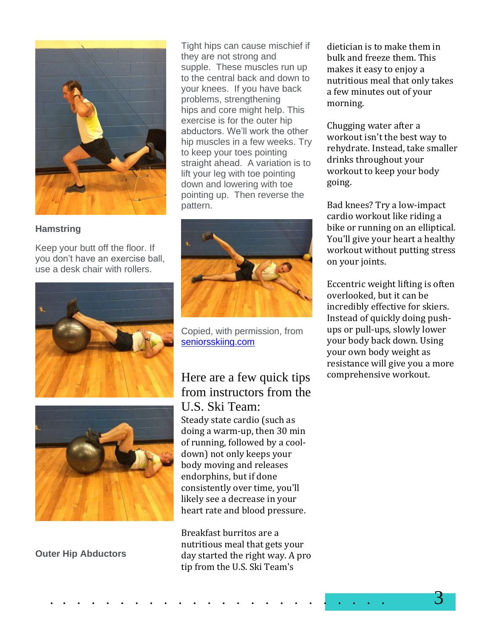

## **Hamstring**

Keep your butt off the floor. If you don't have an exercise ball, use a desk chair with rollers.





**Outer Hip Abductors**

Tight hips can cause mischief if they are not strong and supple. These muscles run up to the central back and down to your knees. If you have back problems, strengthening hips and core might help. This exercise is for the outer hip abductors. We'll work the other hip muscles in a few weeks. Try to keep your toes pointing straight ahead. A variation is to lift your leg with toe pointing down and lowering with toe pointing up. Then reverse the pattern.



Copied, with permission, from [seniorsskiing.com](mailto:http://seniorsskiing.com/)

Here are a few quick tips from instructors from the U.S. Ski Team: Steady state cardio (such as doing a warm-up, then 30 min of running, followed by a cooldown) not only keeps your body moving and releases endorphins, but if done consistently over time, you'll likely see a decrease in your heart rate and blood pressure.

Breakfast burritos are a nutritious meal that gets your day started the right way. A pro tip from the U.S. Ski Team's

dietician is to make them in bulk and freeze them. This makes it easy to enjoy a nutritious meal that only takes a few minutes out of your morning.

Chugging water after a workout isn't the best way to rehydrate. Instead, take smaller drinks throughout your workout to keep your body going.

Bad knees? Try a low-impact cardio workout like riding a bike or running on an elliptical. You'll give your heart a healthy workout without putting stress on your joints.

Eccentric weight lifting is often overlooked, but it can be incredibly effective for skiers. Instead of quickly doing pushups or pull-ups, slowly lower your body back down. Using your own body weight as resistance will give you a more comprehensive workout.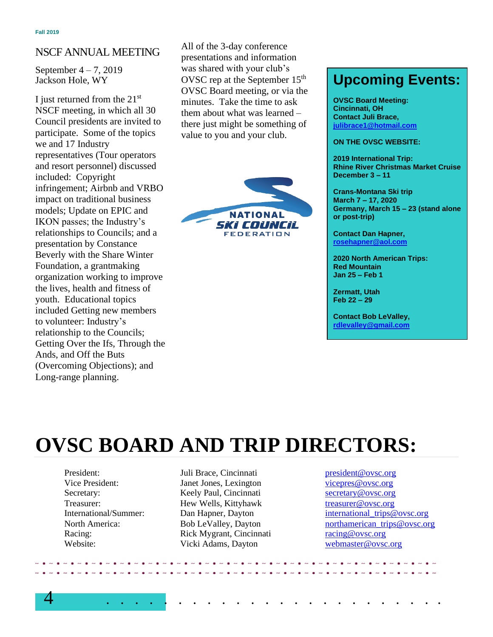# NSCF ANNUAL MEETING

September 4 – 7, 2019 Jackson Hole, WY

I just returned from the 21st NSCF meeting, in which all 30 Council presidents are invited to participate. Some of the topics we and 17 Industry representatives (Tour operators and resort personnel) discussed included: Copyright infringement; Airbnb and VRBO impact on traditional business models; Update on EPIC and IKON passes; the Industry's relationships to Councils; and a presentation by Constance Beverly with the Share Winter Foundation, a grantmaking organization working to improve the lives, health and fitness of youth. Educational topics included Getting new members to volunteer: Industry's relationship to the Councils; Getting Over the Ifs, Through the Ands, and Off the Buts (Overcoming Objections); and Long-range planning.

All of the 3-day conference presentations and information was shared with your club's OVSC rep at the September 15<sup>th</sup> OVSC Board meeting, or via the minutes. Take the time to ask them about what was learned – there just might be something of value to you and your club.



# **Upcoming Events:**

**OVSC Board Meeting: Cincinnati, OH Contact Juli Brac[e,](mailto:%20julibrace1@hotmail.com) [julibrace1@hotmail.com](mailto:%20julibrace1@hotmail.com)**

#### **ON THE OVSC WEBSITE:**

**2019 International Trip: Rhine River Christmas Market Cruise December 3 – 11**

**Crans-Montana Ski trip March 7 – 17, 2020 Germany, March 15 – 23 (stand alone or post-trip)**

**Contact Dan Hapner, [rosehapner@aol.com](file:///C:/Users/Owner/Desktop/OVSC/Newsletter/2019/rosehapner@aol.com)**

**2020 North American Trips: Red Mountain Jan 25 – Feb 1**

**Zermatt, Utah Feb 22 – 29**

**Contact Bob LeValley, <rdlevalley@gmail.com>**

# **OVSC BOARD AND TRIP DIRECTORS:**

- 
- President: Juli Brace, Cincinnati [president@ovsc.org](mailto:president@ovsc.org) Vice President: Janet Jones, Lexington [vicepres@ovsc.org](mailto:vicepres@ovsc.org)  Secretary: Keely Paul, Cincinnati [secretary@ovsc.org](file:///C:/Users/Owner/Desktop/OVSC/Newsletter/2019%20Late%20Winter%20-%20Early%20Spring/secretary@ovsc.org) Treasurer: **Hew Wells, Kittyhawk** [treasurer@ovsc.org](file:///C:/Users/Owner/Desktop/OVSC/Newsletter/2019%20Late%20Winter%20-%20Early%20Spring/treasurer@ovsc.org)<br>
19 International/Summer: Dan Happer, Davton **the international trips** Racing: Rick Mygrant, Cincinnati [racing@ovsc.org](file:///C:/Users/Owner/Desktop/OVSC/Newsletter/2019%20Late%20Winter%20-%20Early%20Spring/racing@ovsc.org) Website: Vicki Adams, Dayton [webmaster@ovsc.org](mailto:webmaster@ovsc.org)
- Dan Hapner, Dayton [international\\_trips@ovsc.org](file:///C:/Users/Owner/Desktop/OVSC/Newsletter/2019%20Late%20Winter%20-%20Early%20Spring/international_trips@ovsc.org) North America: Bob LeValley, Dayton northamerican trips@ovsc.org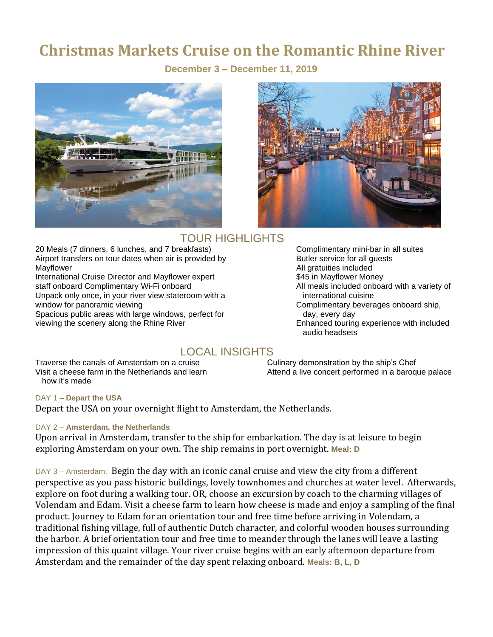# **Christmas Markets Cruise on the Romantic Rhine River**

 **December 3 – December 11, 2019**





# TOUR HIGHLIGHTS

20 Meals (7 dinners, 6 lunches, and 7 breakfasts) Complimentary mini-bar in all suites Airport transfers on tour dates when air is provided by Butler service for all quests Mayflower **All gratuities included Mayflower All gratuities included** 

International Cruise Director and Mayflower expert \$45 in Mayflower Money staff onboard Complimentary Wi-Fi onboard **All meals included onboard with a variety of** Unpack only once, in your river view stateroom with a international cuisine window for panoramic viewing view  $\blacksquare$ 

Spacious public areas with large windows, perfect for day, every day, every day viewing the scenery along the Rhine River Enhanced touring experience with included

Complimentary beverages onboard ship, audio headsets

# LOCAL INSIGHTS

Traverse the canals of Amsterdam on a cruise Culinary demonstration by the ship's Chef how it's made

Visit a cheese farm in the Netherlands and learn Attend a live concert performed in a baroque palace

#### DAY 1 – **Depart the USA**

Depart the USA on your overnight flight to Amsterdam, the Netherlands.

#### DAY 2 – **Amsterdam, the Netherlands**

Upon arrival in Amsterdam, transfer to the ship for embarkation. The day is at leisure to begin exploring Amsterdam on your own. The ship remains in port overnight. **Meal: D**

DAY 3 – Amsterdam: Begin the day with an iconic canal cruise and view the city from a different perspective as you pass historic buildings, lovely townhomes and churches at water level. Afterwards, explore on foot during a walking tour. OR, choose an excursion by coach to the charming villages of Volendam and Edam. Visit a cheese farm to learn how cheese is made and enjoy a sampling of the final product. Journey to Edam for an orientation tour and free time before arriving in Volendam, a traditional fishing village, full of authentic Dutch character, and colorful wooden houses surrounding the harbor. A brief orientation tour and free time to meander through the lanes will leave a lasting impression of this quaint village. Your river cruise begins with an early afternoon departure from Amsterdam and the remainder of the day spent relaxing onboard. **Meals: B, L, D**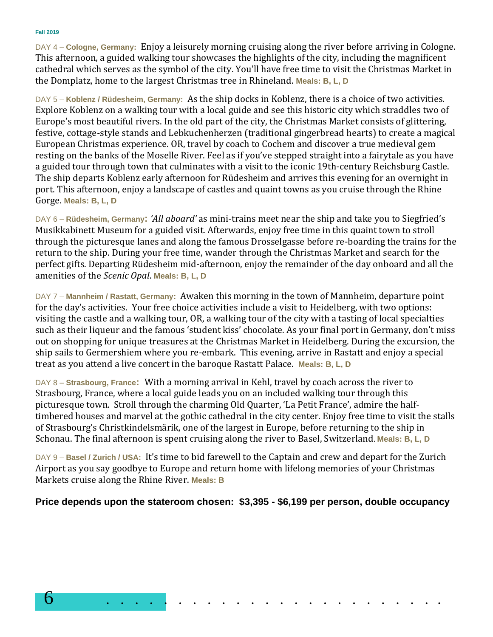#### **Fall 2019**

DAY 4 – **Cologne, Germany:** Enjoy a leisurely morning cruising along the river before arriving in Cologne. This afternoon, a guided walking tour showcases the highlights of the city, including the magnificent cathedral which serves as the symbol of the city. You'll have free time to visit the Christmas Market in the Domplatz, home to the largest Christmas tree in Rhineland. **Meals: B, L, D**

DAY 5 – **Koblenz / Rüdesheim, Germany:** As the ship docks in Koblenz, there is a choice of two activities. Explore Koblenz on a walking tour with a local guide and see this historic city which straddles two of Europe's most beautiful rivers. In the old part of the city, the Christmas Market consists of glittering, festive, cottage-style stands and Lebkuchenherzen (traditional gingerbread hearts) to create a magical European Christmas experience. OR, travel by coach to Cochem and discover a true medieval gem resting on the banks of the Moselle River. Feel as if you've stepped straight into a fairytale as you have a guided tour through town that culminates with a visit to the iconic 19th-century Reichsburg Castle. The ship departs Koblenz early afternoon for Rüdesheim and arrives this evening for an overnight in port. This afternoon, enjoy a landscape of castles and quaint towns as you cruise through the Rhine Gorge. **Meals: B, L, D**

DAY 6 – **Rüdesheim, Germany:** *'All aboard'* as mini-trains meet near the ship and take you to Siegfried's Musikkabinett Museum for a guided visit. Afterwards, enjoy free time in this quaint town to stroll through the picturesque lanes and along the famous Drosselgasse before re-boarding the trains for the return to the ship. During your free time, wander through the Christmas Market and search for the perfect gifts. Departing Rüdesheim mid-afternoon, enjoy the remainder of the day onboard and all the amenities of the *Scenic Opal*. **Meals: B, L, D**

DAY 7 – **Mannheim / Rastatt, Germany:** Awaken this morning in the town of Mannheim, departure point for the day's activities. Your free choice activities include a visit to Heidelberg, with two options: visiting the castle and a walking tour, OR, a walking tour of the city with a tasting of local specialties such as their liqueur and the famous 'student kiss' chocolate. As your final port in Germany, don't miss out on shopping for unique treasures at the Christmas Market in Heidelberg. During the excursion, the ship sails to Germershiem where you re-embark. This evening, arrive in Rastatt and enjoy a special treat as you attend a live concert in the baroque Rastatt Palace. **Meals: B, L, D**

DAY 8 – **Strasbourg, France:** With a morning arrival in Kehl, travel by coach across the river to Strasbourg, France, where a local guide leads you on an included walking tour through this picturesque town. Stroll through the charming Old Quarter, 'La Petit France', admire the halftimbered houses and marvel at the gothic cathedral in the city center. Enjoy free time to visit the stalls of Strasbourg's Christkindelsmärik, one of the largest in Europe, before returning to the ship in Schonau. The final afternoon is spent cruising along the river to Basel, Switzerland. **Meals: B, L, D**

DAY 9 – **Basel / Zurich / USA:** It's time to bid farewell to the Captain and crew and depart for the Zurich Airport as you say goodbye to Europe and return home with lifelong memories of your Christmas Markets cruise along the Rhine River. **Meals: B**

**Price depends upon the stateroom chosen: \$3,395 - \$6,199 per person, double occupancy**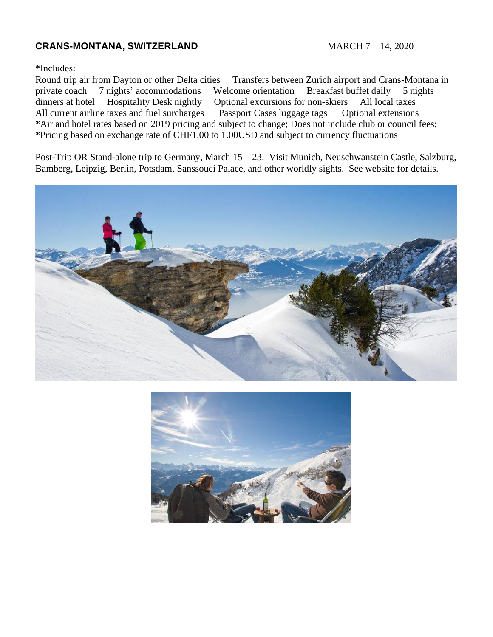# **CRANS-MONTANA, SWITZERLAND** MARCH 7 – 14, 2020

#### \*Includes:

Round trip air from Dayton or other Delta cities Transfers between Zurich airport and Crans-Montana in private coach 7 nights' accommodations Welcome orientation Breakfast buffet daily 5 nights dinners at hotel Hospitality Desk nightly Optional excursions for non-skiers All local taxes All current airline taxes and fuel surcharges Passport Cases luggage tags Optional extensions \*Air and hotel rates based on 2019 pricing and subject to change; Does not include club or council fees; \*Pricing based on exchange rate of CHF1.00 to 1.00USD and subject to currency fluctuations

Post-Trip OR Stand-alone trip to Germany, March 15 – 23. Visit Munich, Neuschwanstein Castle, Salzburg, Bamberg, Leipzig, Berlin, Potsdam, Sanssouci Palace, and other worldly sights. See website for details.